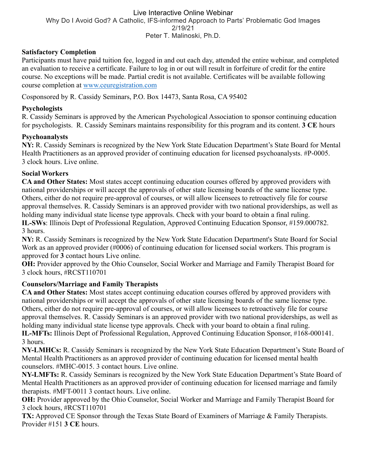#### Live Interactive Online Webinar Why Do I Avoid God? A Catholic, IFS-informed Approach to Parts' Problematic God Images 2/19/21 Peter T. Malinoski, Ph.D.

# **Satisfactory Completion**

Participants must have paid tuition fee, logged in and out each day, attended the entire webinar, and completed an evaluation to receive a certificate. Failure to log in or out will result in forfeiture of credit for the entire course. No exceptions will be made. Partial credit is not available. Certificates will be available following course completion at www.ceuregistration.com

Cosponsored by R. Cassidy Seminars, P.O. Box 14473, Santa Rosa, CA 95402

## **Psychologists**

R. Cassidy Seminars is approved by the American Psychological Association to sponsor continuing education for psychologists. R. Cassidy Seminars maintains responsibility for this program and its content. **3 CE** hours

## **Psychoanalysts**

**NY:** R. Cassidy Seminars is recognized by the New York State Education Department's State Board for Mental Health Practitioners as an approved provider of continuing education for licensed psychoanalysts. #P-0005. 3 clock hours. Live online.

# **Social Workers**

**CA and Other States:** Most states accept continuing education courses offered by approved providers with national providerships or will accept the approvals of other state licensing boards of the same license type. Others, either do not require pre-approval of courses, or will allow licensees to retroactively file for course approval themselves. R. Cassidy Seminars is an approved provider with two national providerships, as well as holding many individual state license type approvals. Check with your board to obtain a final ruling. **IL-SWs**: Illinois Dept of Professional Regulation, Approved Continuing Education Sponsor, #159.000782. 3 hours.

**NY:** R. Cassidy Seminars is recognized by the New York State Education Department's State Board for Social Work as an approved provider (#0006) of continuing education for licensed social workers. This program is approved for **3** contact hours Live online.

**OH:** Provider approved by the Ohio Counselor, Social Worker and Marriage and Family Therapist Board for 3 clock hours, #RCST110701

# **Counselors/Marriage and Family Therapists**

**CA and Other States:** Most states accept continuing education courses offered by approved providers with national providerships or will accept the approvals of other state licensing boards of the same license type. Others, either do not require pre-approval of courses, or will allow licensees to retroactively file for course approval themselves. R. Cassidy Seminars is an approved provider with two national providerships, as well as holding many individual state license type approvals. Check with your board to obtain a final ruling. **IL-MFTs:** Illinois Dept of Professional Regulation, Approved Continuing Education Sponsor, #168-000141. 3 hours.

**NY-LMHCs:** R. Cassidy Seminars is recognized by the New York State Education Department's State Board of Mental Health Practitioners as an approved provider of continuing education for licensed mental health counselors. #MHC-0015. 3 contact hours. Live online.

**NY-LMFTs:** R. Cassidy Seminars is recognized by the New York State Education Department's State Board of Mental Health Practitioners as an approved provider of continuing education for licensed marriage and family therapists. #MFT-0011 3 contact hours. Live online.

**OH:** Provider approved by the Ohio Counselor, Social Worker and Marriage and Family Therapist Board for 3 clock hours, #RCST110701

**TX:** Approved CE Sponsor through the Texas State Board of Examiners of Marriage & Family Therapists. Provider #151 **3 CE** hours.